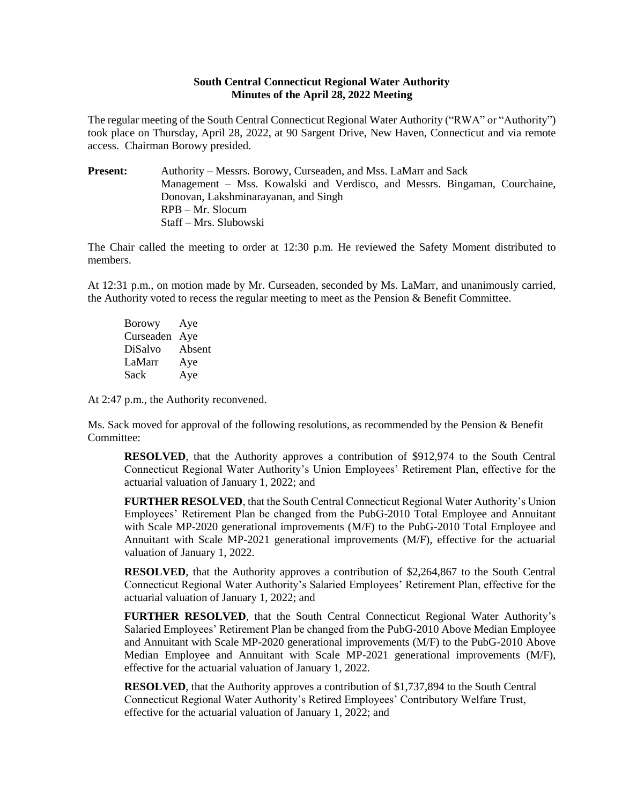## **South Central Connecticut Regional Water Authority Minutes of the April 28, 2022 Meeting**

The regular meeting of the South Central Connecticut Regional Water Authority ("RWA" or "Authority") took place on Thursday, April 28, 2022, at 90 Sargent Drive, New Haven, Connecticut and via remote access. Chairman Borowy presided.

**Present:** Authority – Messrs. Borowy, Curseaden, and Mss. LaMarr and Sack Management – Mss. Kowalski and Verdisco, and Messrs. Bingaman, Courchaine, Donovan, Lakshminarayanan, and Singh RPB – Mr. Slocum Staff – Mrs. Slubowski

The Chair called the meeting to order at 12:30 p.m. He reviewed the Safety Moment distributed to members.

At 12:31 p.m., on motion made by Mr. Curseaden, seconded by Ms. LaMarr, and unanimously carried, the Authority voted to recess the regular meeting to meet as the Pension & Benefit Committee.

Borowy Aye Curseaden Aye DiSalvo Absent LaMarr Aye Sack Aye

At 2:47 p.m., the Authority reconvened.

Ms. Sack moved for approval of the following resolutions, as recommended by the Pension & Benefit Committee:

**RESOLVED**, that the Authority approves a contribution of \$912,974 to the South Central Connecticut Regional Water Authority's Union Employees' Retirement Plan, effective for the actuarial valuation of January 1, 2022; and

**FURTHER RESOLVED**, that the South Central Connecticut Regional Water Authority's Union Employees' Retirement Plan be changed from the PubG-2010 Total Employee and Annuitant with Scale MP-2020 generational improvements (M/F) to the PubG-2010 Total Employee and Annuitant with Scale MP-2021 generational improvements (M/F), effective for the actuarial valuation of January 1, 2022.

**RESOLVED**, that the Authority approves a contribution of \$2,264,867 to the South Central Connecticut Regional Water Authority's Salaried Employees' Retirement Plan, effective for the actuarial valuation of January 1, 2022; and

**FURTHER RESOLVED**, that the South Central Connecticut Regional Water Authority's Salaried Employees' Retirement Plan be changed from the PubG-2010 Above Median Employee and Annuitant with Scale MP-2020 generational improvements (M/F) to the PubG-2010 Above Median Employee and Annuitant with Scale MP-2021 generational improvements (M/F), effective for the actuarial valuation of January 1, 2022.

**RESOLVED**, that the Authority approves a contribution of \$1,737,894 to the South Central Connecticut Regional Water Authority's Retired Employees' Contributory Welfare Trust, effective for the actuarial valuation of January 1, 2022; and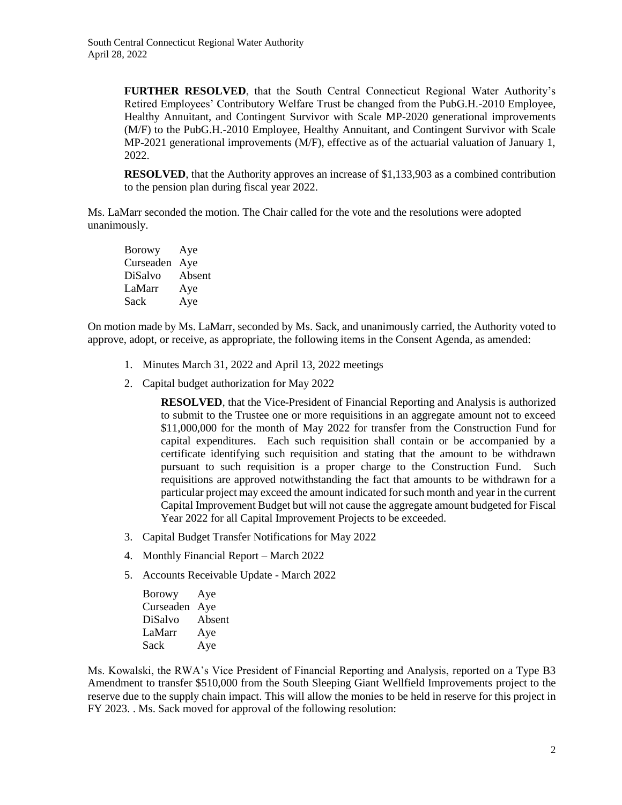**FURTHER RESOLVED**, that the South Central Connecticut Regional Water Authority's Retired Employees' Contributory Welfare Trust be changed from the PubG.H.-2010 Employee, Healthy Annuitant, and Contingent Survivor with Scale MP-2020 generational improvements (M/F) to the PubG.H.-2010 Employee, Healthy Annuitant, and Contingent Survivor with Scale MP-2021 generational improvements (M/F), effective as of the actuarial valuation of January 1, 2022.

**RESOLVED**, that the Authority approves an increase of \$1,133,903 as a combined contribution to the pension plan during fiscal year 2022.

Ms. LaMarr seconded the motion. The Chair called for the vote and the resolutions were adopted unanimously.

| <b>Borowy</b> | Aye    |
|---------------|--------|
| Curseaden     | Aye    |
| DiSalvo       | Absent |
| LaMarr        | Aye    |
| Sack          | Aye    |

On motion made by Ms. LaMarr, seconded by Ms. Sack, and unanimously carried, the Authority voted to approve, adopt, or receive, as appropriate, the following items in the Consent Agenda, as amended:

- 1. Minutes March 31, 2022 and April 13, 2022 meetings
- 2. Capital budget authorization for May 2022

**RESOLVED**, that the Vice-President of Financial Reporting and Analysis is authorized to submit to the Trustee one or more requisitions in an aggregate amount not to exceed \$11,000,000 for the month of May 2022 for transfer from the Construction Fund for capital expenditures. Each such requisition shall contain or be accompanied by a certificate identifying such requisition and stating that the amount to be withdrawn pursuant to such requisition is a proper charge to the Construction Fund. Such requisitions are approved notwithstanding the fact that amounts to be withdrawn for a particular project may exceed the amount indicated for such month and year in the current Capital Improvement Budget but will not cause the aggregate amount budgeted for Fiscal Year 2022 for all Capital Improvement Projects to be exceeded.

- 3. Capital Budget Transfer Notifications for May 2022
- 4. Monthly Financial Report March 2022
- 5. Accounts Receivable Update March 2022

Borowy Aye Curseaden Aye DiSalvo Absent LaMarr Aye Sack Aye

Ms. Kowalski, the RWA's Vice President of Financial Reporting and Analysis, reported on a Type B3 Amendment to transfer \$510,000 from the South Sleeping Giant Wellfield Improvements project to the reserve due to the supply chain impact. This will allow the monies to be held in reserve for this project in FY 2023. . Ms. Sack moved for approval of the following resolution: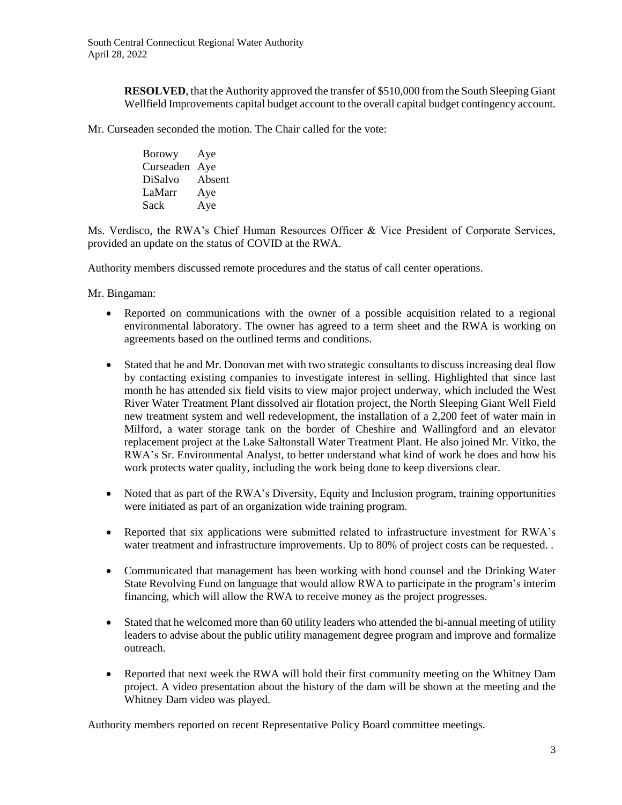**RESOLVED**, that the Authority approved the transfer of \$510,000 from the South Sleeping Giant Wellfield Improvements capital budget account to the overall capital budget contingency account.

Mr. Curseaden seconded the motion. The Chair called for the vote:

Borowy Aye Curseaden Aye DiSalvo Absent LaMarr Aye Sack Aye

Ms. Verdisco, the RWA's Chief Human Resources Officer & Vice President of Corporate Services, provided an update on the status of COVID at the RWA.

Authority members discussed remote procedures and the status of call center operations.

Mr. Bingaman:

- Reported on communications with the owner of a possible acquisition related to a regional environmental laboratory. The owner has agreed to a term sheet and the RWA is working on agreements based on the outlined terms and conditions.
- Stated that he and Mr. Donovan met with two strategic consultants to discuss increasing deal flow by contacting existing companies to investigate interest in selling. Highlighted that since last month he has attended six field visits to view major project underway, which included the West River Water Treatment Plant dissolved air flotation project, the North Sleeping Giant Well Field new treatment system and well redevelopment, the installation of a 2,200 feet of water main in Milford, a water storage tank on the border of Cheshire and Wallingford and an elevator replacement project at the Lake Saltonstall Water Treatment Plant. He also joined Mr. Vitko, the RWA's Sr. Environmental Analyst, to better understand what kind of work he does and how his work protects water quality, including the work being done to keep diversions clear.
- Noted that as part of the RWA's Diversity, Equity and Inclusion program, training opportunities were initiated as part of an organization wide training program.
- Reported that six applications were submitted related to infrastructure investment for RWA's water treatment and infrastructure improvements. Up to 80% of project costs can be requested. .
- Communicated that management has been working with bond counsel and the Drinking Water State Revolving Fund on language that would allow RWA to participate in the program's interim financing, which will allow the RWA to receive money as the project progresses.
- Stated that he welcomed more than 60 utility leaders who attended the bi-annual meeting of utility leaders to advise about the public utility management degree program and improve and formalize outreach.
- Reported that next week the RWA will hold their first community meeting on the Whitney Dam project. A video presentation about the history of the dam will be shown at the meeting and the Whitney Dam video was played.

Authority members reported on recent Representative Policy Board committee meetings.